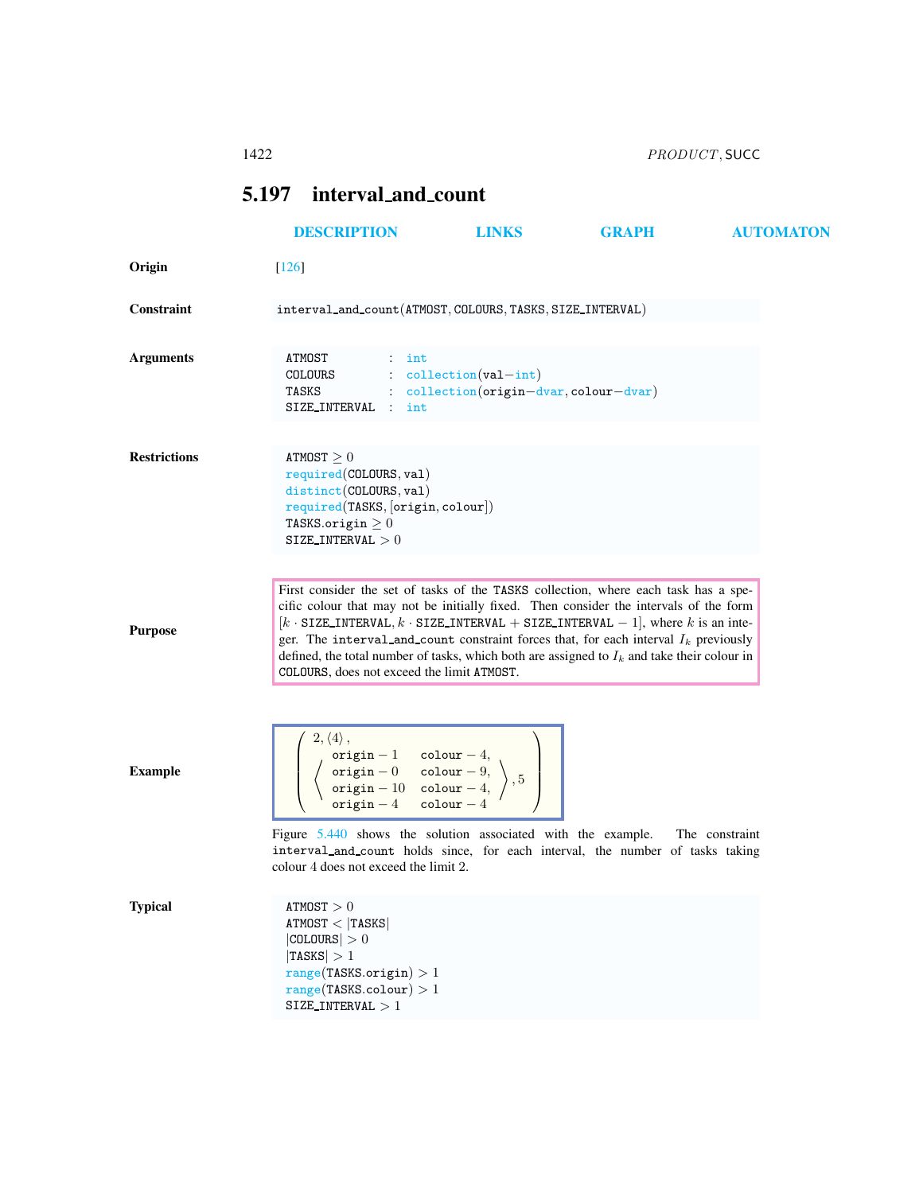<span id="page-0-0"></span>

|                     | 1422                                                                                                                                                                                        |                                                                                                                                                                                                                                                                                                                                                                                                                                                                          | PRODUCT, SUCC |                  |  |
|---------------------|---------------------------------------------------------------------------------------------------------------------------------------------------------------------------------------------|--------------------------------------------------------------------------------------------------------------------------------------------------------------------------------------------------------------------------------------------------------------------------------------------------------------------------------------------------------------------------------------------------------------------------------------------------------------------------|---------------|------------------|--|
|                     | 5.197 interval_and_count                                                                                                                                                                    |                                                                                                                                                                                                                                                                                                                                                                                                                                                                          |               |                  |  |
|                     | <b>DESCRIPTION</b>                                                                                                                                                                          | <b>LINKS</b>                                                                                                                                                                                                                                                                                                                                                                                                                                                             | <b>GRAPH</b>  | <b>AUTOMATON</b> |  |
| Origin              | $\lceil 126 \rceil$                                                                                                                                                                         |                                                                                                                                                                                                                                                                                                                                                                                                                                                                          |               |                  |  |
| Constraint          |                                                                                                                                                                                             | interval_and_count(ATMOST, COLOURS, TASKS, SIZE_INTERVAL)                                                                                                                                                                                                                                                                                                                                                                                                                |               |                  |  |
| <b>Arguments</b>    | ATMOST<br>$:$ int<br>COLOURS<br>TASKS<br>SIZE_INTERVAL : int                                                                                                                                | $\therefore$ collection(val-int)<br>: collection(origin-dvar, colour-dvar)                                                                                                                                                                                                                                                                                                                                                                                               |               |                  |  |
| <b>Restrictions</b> | ATMOST > 0<br>$required$ (COLOURS, $val$ )<br>distinct(COLOURS, val)<br>required(TASKS, [origin, colour])<br>TASKS.origin $\geq 0$<br>SIZE_INTERVAL $>0$                                    |                                                                                                                                                                                                                                                                                                                                                                                                                                                                          |               |                  |  |
| <b>Purpose</b>      | COLOURS, does not exceed the limit ATMOST.                                                                                                                                                  | First consider the set of tasks of the TASKS collection, where each task has a spe-<br>cific colour that may not be initially fixed. Then consider the intervals of the form<br>$[k \cdot SIZE\_INTERVAL, k \cdot SIZE\_INTERVAL + SIZE\_INTERVAL - 1]$ , where k is an inte-<br>ger. The interval and count constraint forces that, for each interval $I_k$ previously<br>defined, the total number of tasks, which both are assigned to $I_k$ and take their colour in |               |                  |  |
| <b>Example</b>      | $2,\langle 4\rangle\,,$<br>$\left(\begin{array}{ccc} \text{origin}-1 & \text{colour}-4, \\ \text{origin}-0 & \text{colour}-9, \\ \text{origin}-10 & \text{colour}-4, \end{array}\right), 5$ |                                                                                                                                                                                                                                                                                                                                                                                                                                                                          |               |                  |  |

Figure [5.440](#page-1-0) shows the solution associated with the example. The constraint interval and count holds since, for each interval, the number of tasks taking colour 4 does not exceed the limit 2.

 $**ATMOST** > 0$  $ATMOST < |TASKS|$  $|$ COLOURS $| > 0$  $|{\tt TASKS}| > 1$  $range(TASKS.origin) > 1$  $range(TASKS.colowr) > 1$ SIZE\_INTERVAL  $>1$ 

 $origin - 4$  colour  $- 4$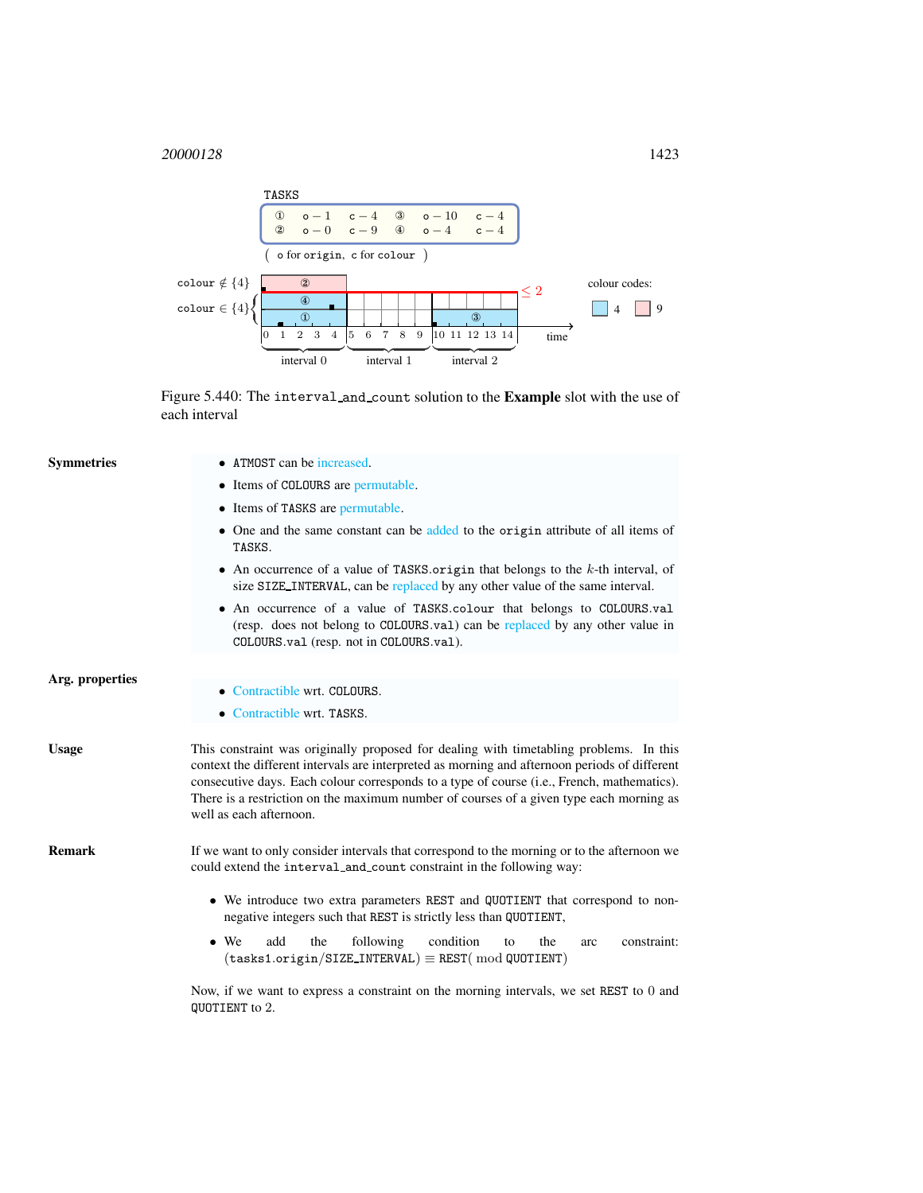## <sup>20000128</sup> 1423



<span id="page-1-0"></span>Figure 5.440: The interval and count solution to the Example slot with the use of each interval

| <b>Symmetries</b> | • ATMOST can be increased.                                                                                                                                                                                                                                                                                                                                                                                  |  |  |  |
|-------------------|-------------------------------------------------------------------------------------------------------------------------------------------------------------------------------------------------------------------------------------------------------------------------------------------------------------------------------------------------------------------------------------------------------------|--|--|--|
|                   | • Items of COLOURS are permutable.                                                                                                                                                                                                                                                                                                                                                                          |  |  |  |
|                   | • Items of TASKS are permutable.                                                                                                                                                                                                                                                                                                                                                                            |  |  |  |
|                   | • One and the same constant can be added to the origin attribute of all items of<br>TASKS.                                                                                                                                                                                                                                                                                                                  |  |  |  |
|                   | • An occurrence of a value of TASKS origin that belongs to the $k$ -th interval, of<br>size SIZE_INTERVAL, can be replaced by any other value of the same interval.                                                                                                                                                                                                                                         |  |  |  |
|                   | • An occurrence of a value of TASKS.colour that belongs to COLOURS.val<br>(resp. does not belong to COLOURS.val) can be replaced by any other value in<br>COLOURS.val (resp. not in COLOURS.val).                                                                                                                                                                                                           |  |  |  |
| Arg. properties   | • Contractible wrt. COLOURS.                                                                                                                                                                                                                                                                                                                                                                                |  |  |  |
|                   | • Contractible wrt. TASKS.                                                                                                                                                                                                                                                                                                                                                                                  |  |  |  |
| <b>Usage</b>      | This constraint was originally proposed for dealing with timetabling problems. In this<br>context the different intervals are interpreted as morning and afternoon periods of different<br>consecutive days. Each colour corresponds to a type of course (i.e., French, mathematics).<br>There is a restriction on the maximum number of courses of a given type each morning as<br>well as each afternoon. |  |  |  |
| <b>Remark</b>     | If we want to only consider intervals that correspond to the morning or to the afternoon we<br>could extend the interval and count constraint in the following way:                                                                                                                                                                                                                                         |  |  |  |
|                   | • We introduce two extra parameters REST and QUOTIENT that correspond to non-<br>negative integers such that REST is strictly less than QUOTIENT,                                                                                                                                                                                                                                                           |  |  |  |
|                   | add<br>following<br>condition<br>$\bullet$ We<br>the<br>the<br>constraint:<br>to<br>arc<br>$(tasks1.origin/SIZE_INTERVAL) \equiv REST(mod QUOTIENT)$                                                                                                                                                                                                                                                        |  |  |  |
|                   | Now, if we want to express a constraint on the morning intervals, we set REST to 0 and<br>QUOTIENT to 2.                                                                                                                                                                                                                                                                                                    |  |  |  |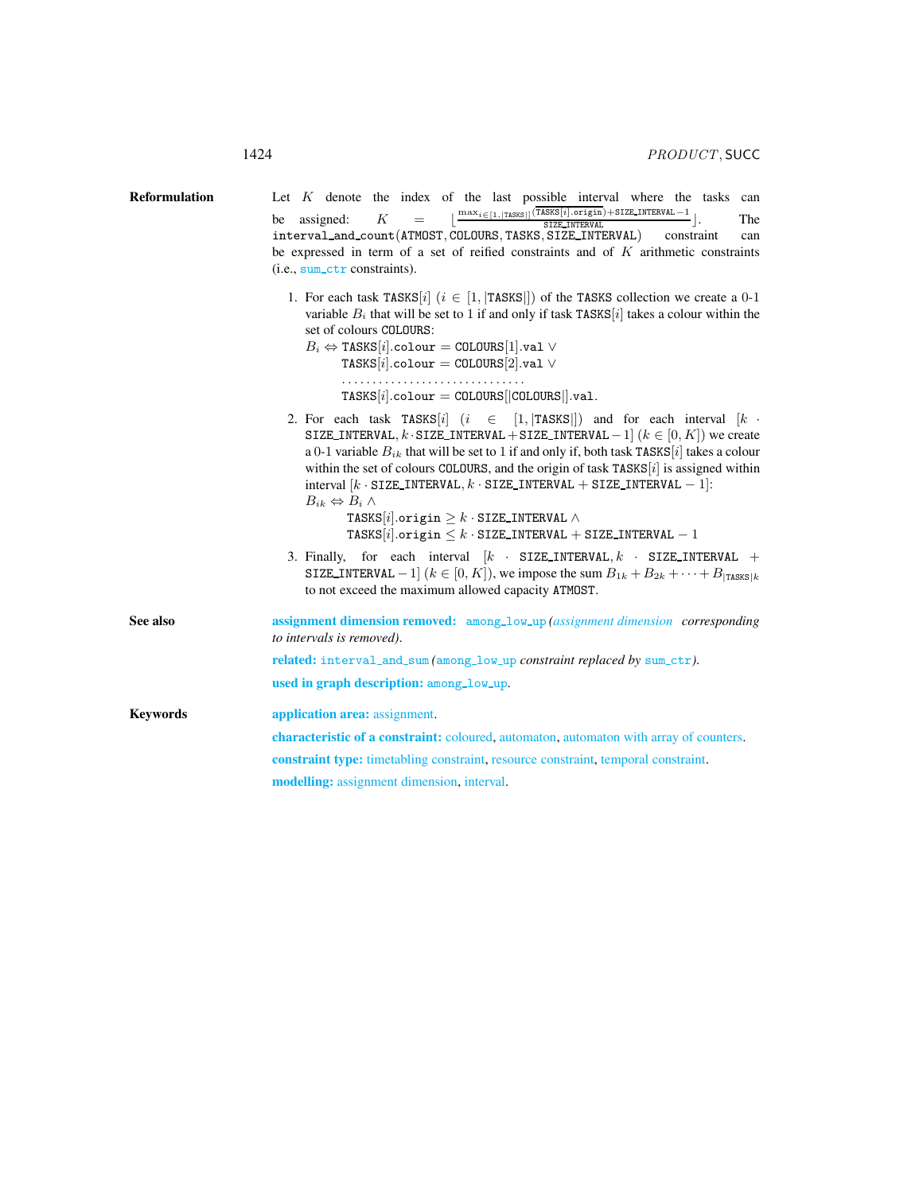<span id="page-2-0"></span>

| <b>Reformulation</b> | Let K denote the index of the last possible interval where the tasks can<br>$=\Big[\frac{\max_{i\in[1, \texttt{TASS}]} (\overline{\texttt{TASS}[i].\texttt{origin}})+\texttt{SIZE\_INTERVAL}-1}{\texttt{SIZE\_INTERVAL}}\Big].$<br>K<br>assigned:<br>be<br>The<br>interval_and_count(ATMOST, COLOURS, TASKS, SIZE_INTERVAL) constraint<br>can<br>be expressed in term of a set of reified constraints and of $K$ arithmetic constraints<br>$(i.e., sum_c t r constant).$                                                                                                                                                                                 |  |  |
|----------------------|----------------------------------------------------------------------------------------------------------------------------------------------------------------------------------------------------------------------------------------------------------------------------------------------------------------------------------------------------------------------------------------------------------------------------------------------------------------------------------------------------------------------------------------------------------------------------------------------------------------------------------------------------------|--|--|
|                      | 1. For each task TASKS [i] $(i \in [1,  TASKS ])$ of the TASKS collection we create a 0-1<br>variable $B_i$ that will be set to 1 if and only if task TASKS[i] takes a colour within the<br>set of colours COLOURS:<br>$B_i \Leftrightarrow$ TASKS[i].colour = COLOURS[1].val $\vee$<br>TASKS[i].colour = $COLOUSS[2].val \vee$<br>$TASKS[i].colour = COLOURS[ COLOUSS ].val.$                                                                                                                                                                                                                                                                           |  |  |
|                      | 2. For each task TASKS [i] $(i \in [1,  TASKS ])$ and for each interval $[k \cdot]$<br>SIZE_INTERVAL, $k \cdot$ SIZE_INTERVAL + SIZE_INTERVAL - 1 $(k \in [0, K])$ we create<br>a 0-1 variable $B_{ik}$ that will be set to 1 if and only if, both task TASKS [i] takes a colour<br>within the set of colours COLOURS, and the origin of task TASKS $[i]$ is assigned within<br>interval $[k \cdot \text{SIZE\_INTERVAL}, k \cdot \text{SIZE\_INTERVAL} + \text{SIZE\_INTERVAL} - 1]$ :<br>$B_{ik} \Leftrightarrow B_i \wedge$<br>TASKS[i].origin $> k \cdot$ SIZE_INTERVAL $\wedge$<br>TASKS[i].origin $\leq k \cdot$ SIZE_INTERVAL + SIZE_INTERVAL - 1 |  |  |
|                      | 3. Finally, for each interval $[k \cdot SIZE\_INTERVAL, k \cdot SIZE\_INTERVAL +$<br>SIZE_INTERVAL - 1 $(k \in [0, K])$ , we impose the sum $B_{1k} + B_{2k} + \cdots + B_{ {\rm TASKS} k}$<br>to not exceed the maximum allowed capacity ATMOST.                                                                                                                                                                                                                                                                                                                                                                                                        |  |  |
| See also             | <b>assignment dimension removed:</b> among_low_up (assignment dimension corresponding<br>to intervals is removed).                                                                                                                                                                                                                                                                                                                                                                                                                                                                                                                                       |  |  |
|                      | related: interval_and_sum (among_low_up constraint replaced by sum_ctr).                                                                                                                                                                                                                                                                                                                                                                                                                                                                                                                                                                                 |  |  |
|                      | used in graph description: among_low_up.                                                                                                                                                                                                                                                                                                                                                                                                                                                                                                                                                                                                                 |  |  |
| <b>Keywords</b>      | application area: assignment.                                                                                                                                                                                                                                                                                                                                                                                                                                                                                                                                                                                                                            |  |  |
|                      | <b>characteristic of a constraint:</b> coloured, automaton, automaton with array of counters.                                                                                                                                                                                                                                                                                                                                                                                                                                                                                                                                                            |  |  |
|                      | constraint type: timetabling constraint, resource constraint, temporal constraint.                                                                                                                                                                                                                                                                                                                                                                                                                                                                                                                                                                       |  |  |
|                      | <b>modelling:</b> assignment dimension, interval.                                                                                                                                                                                                                                                                                                                                                                                                                                                                                                                                                                                                        |  |  |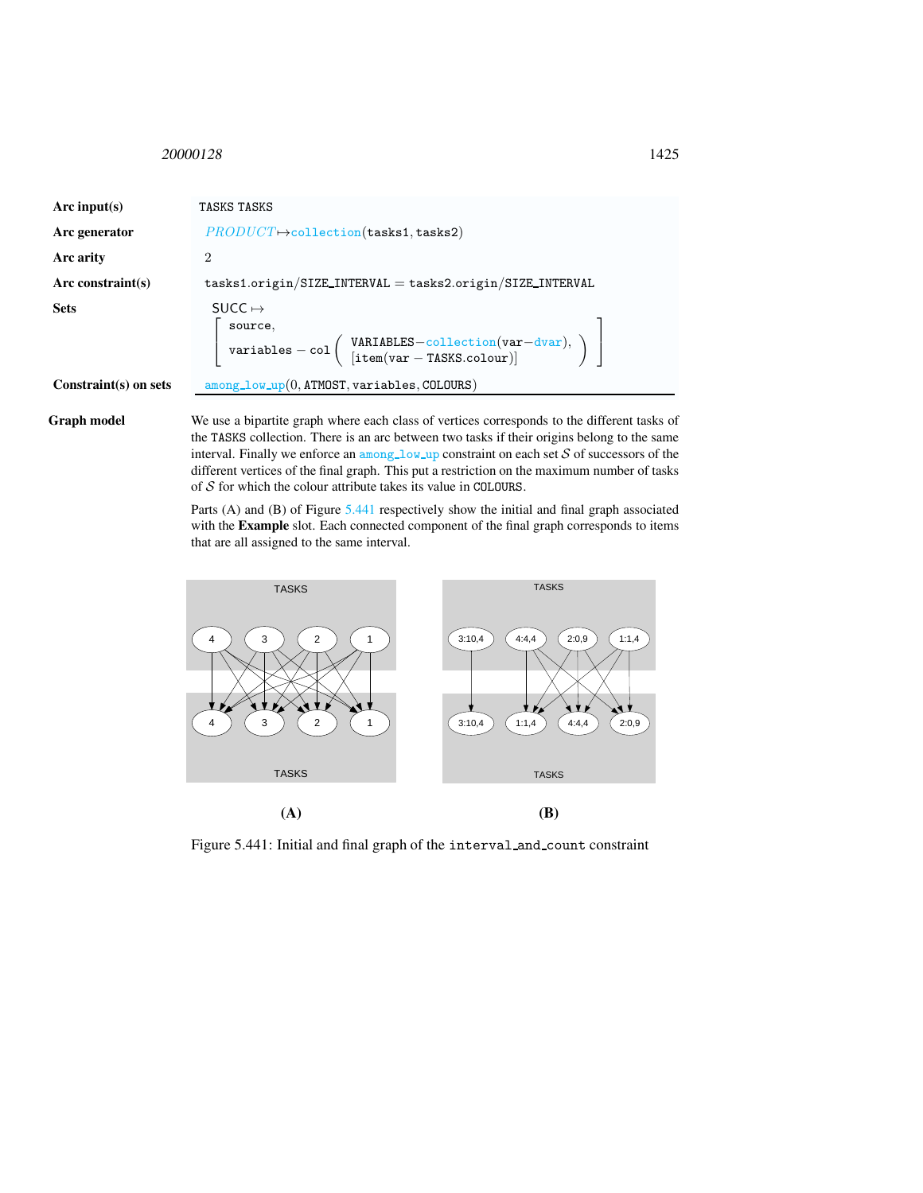## <span id="page-3-0"></span><sup>20000128</sup> 1425

| Arc input(s)          | TASKS TASKS                                                                                                                                                                                                                                                                                             |  |
|-----------------------|---------------------------------------------------------------------------------------------------------------------------------------------------------------------------------------------------------------------------------------------------------------------------------------------------------|--|
| Arc generator         | $PRODUCT \rightarrow collection(\texttt{tasks1}, \texttt{tasks2})$                                                                                                                                                                                                                                      |  |
| <b>Arc arity</b>      | $\overline{2}$                                                                                                                                                                                                                                                                                          |  |
| Arc constraint(s)     | $tasks1.origin/SIZE_INTERVAL = tasks2.origin/SIZE_INTERVAL$                                                                                                                                                                                                                                             |  |
| Sets                  | SUCC $\mapsto$<br>$\left[ \begin{array}{l} \texttt{source},\\ \texttt{variables} - \texttt{col} \left( \begin{array}{l} \texttt{VARIABLES}-\texttt{collection}(\texttt{var} - \texttt{dvar}),\\ [\texttt{item}(\texttt{var} - \texttt{TASKS}.\texttt{colour})] \end{array} \right) \end{array} \right]$ |  |
| Constraint(s) on sets | $among_low_{up}(0, ATMOST, variables, COLQURS)$                                                                                                                                                                                                                                                         |  |
|                       |                                                                                                                                                                                                                                                                                                         |  |

Graph model We use a bipartite graph where each class of vertices corresponds to the different tasks of the TASKS collection. There is an arc between two tasks if their origins belong to the same interval. Finally we enforce an  $\text{among\_low\_up}$  constraint on each set  $S$  of successors of the different vertices of the final graph. This put a restriction on the maximum number of tasks of  $S$  for which the colour attribute takes its value in COLOURS.

> Parts (A) and (B) of Figure [5.441](#page-3-1) respectively show the initial and final graph associated with the Example slot. Each connected component of the final graph corresponds to items that are all assigned to the same interval.



<span id="page-3-1"></span>Figure 5.441: Initial and final graph of the interval and count constraint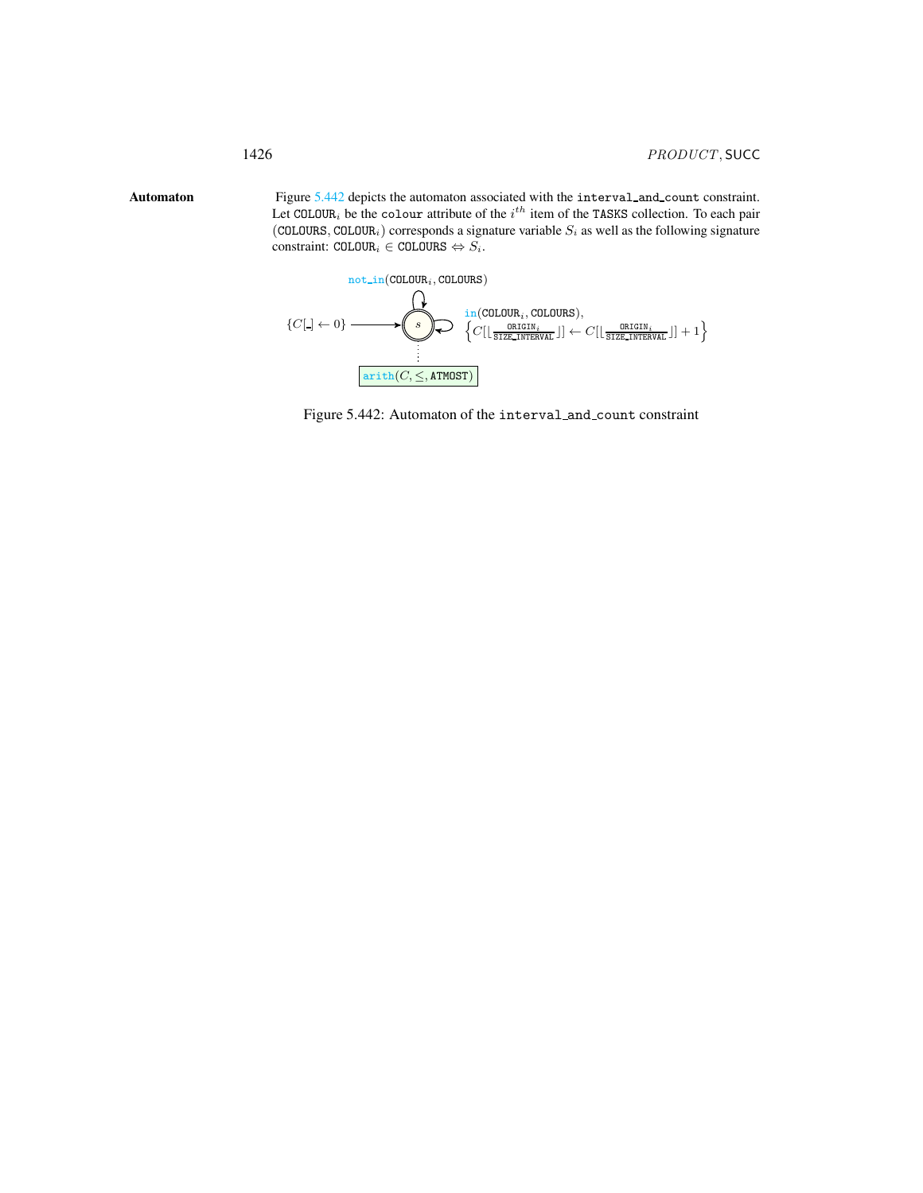Automaton Figure [5.442](#page-4-1) depicts the automaton associated with the interval and count constraint. Let COLOUR<sub>i</sub> be the colour attribute of the  $i^{th}$  item of the TASKS collection. To each pair (COLOURS, COLOUR<sub>i</sub>) corresponds a signature variable  $S_i$  as well as the following signature  $\text{constraint: } \texttt{COLOUR}_i \in \texttt{COLOURS} \Leftrightarrow S_i.$ 

<span id="page-4-0"></span>

<span id="page-4-1"></span>Figure 5.442: Automaton of the interval and count constraint